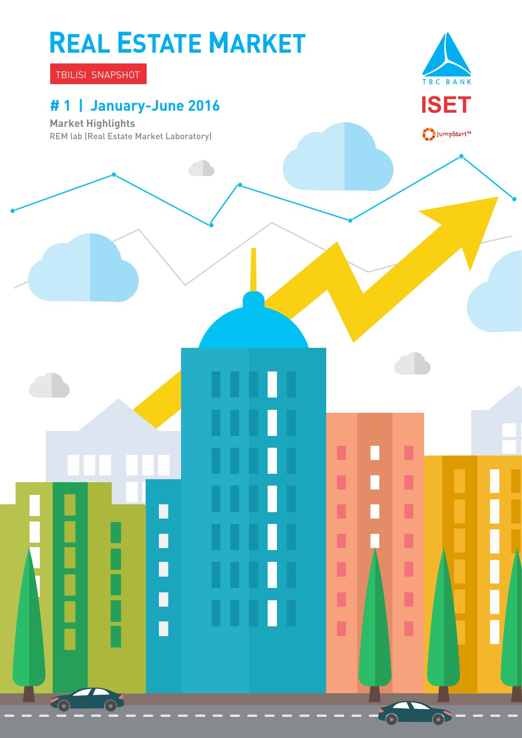# **REAL ESTATE MARKET**

П

П

П

П

O

TBILISI SNAPSHOT

### **# 1 | January-June 2016**

**Market Highlights** REM lab (Real Estate Market Laboratory)



 $\bigcirc$ JumpStart<sup>or</sup>

П

П

П

Ī

Ľ

Ī

ı

 $\odot$ 

-0

 $\mathbb{Z}$ 

П

 $\Box$ 

Π

п

П

П

Ľ

ı

П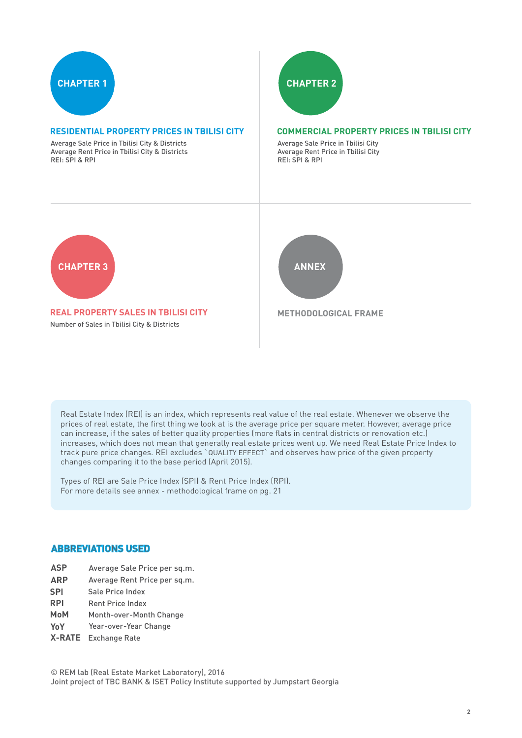

### **RESIDENTIAL PROPERTY PRICES IN TBILISI CITY**

Average Sale Price in Tbilisi City & Districts Average Rent Price in Tbilisi City & Districts REI: SPI & RPI



### **COMMERCIAL PROPERTY PRICES IN TBILISI CITY**

Average Sale Price in Tbilisi City Average Rent Price in Tbilisi City REI: SPI & RPI



**REAL PROPERTY SALES IN TBILISI CITY** Number of Sales in Tbilisi City & Districts



 **METHODOLOGICAL FRAME**

Real Estate Index (REI) is an index, which represents real value of the real estate. Whenever we observe the prices of real estate, the first thing we look at is the average price per square meter. However, average price can increase, if the sales of better quality properties (more flats in central districts or renovation etc.) increases, which does not mean that generally real estate prices went up. We need Real Estate Price Index to track pure price changes. REI excludes `QUALITY EFFECT` and observes how price of the given property changes comparing it to the base period (April 2015).

Types of REI are Sale Price Index (SPI) & Rent Price Index (RPI). For more details see annex - methodological frame on pg. 21

### **ABBREVIATIONS USED**

- **ASP** Average Sale Price per sq.m.
- **ARP** Average Rent Price per sq.m.
- **SPI**  Sale Price Index
- **RPI**  Rent Price Index
- **MoM**  Month-over-Month Change
- **YoY**  Year-over-Year Change
- **X-RATE**  Exchange Rate

© REM lab (Real Estate Market Laboratory), 2016 Joint project of TBC BANK & ISET Policy Institute supported by Jumpstart Georgia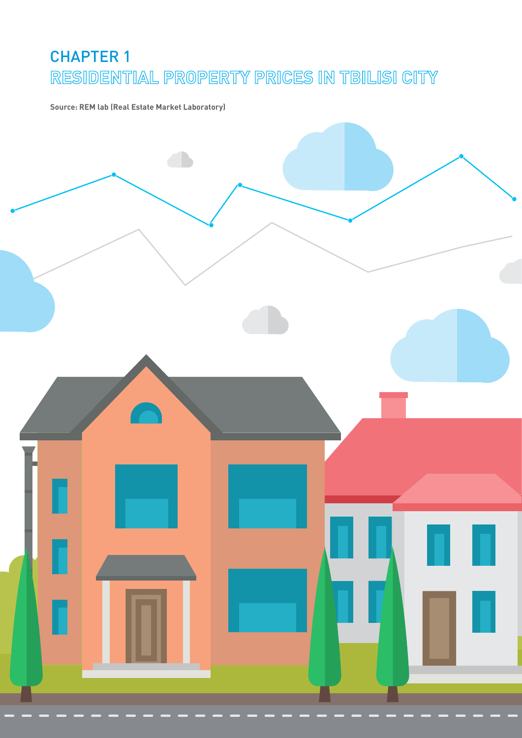# CHAPTER 1 **RESIDENTIAL PROPERTY PRICES IN TBILISI CITY**

**Source: REM lab (Real Estate Market Laboratory)**

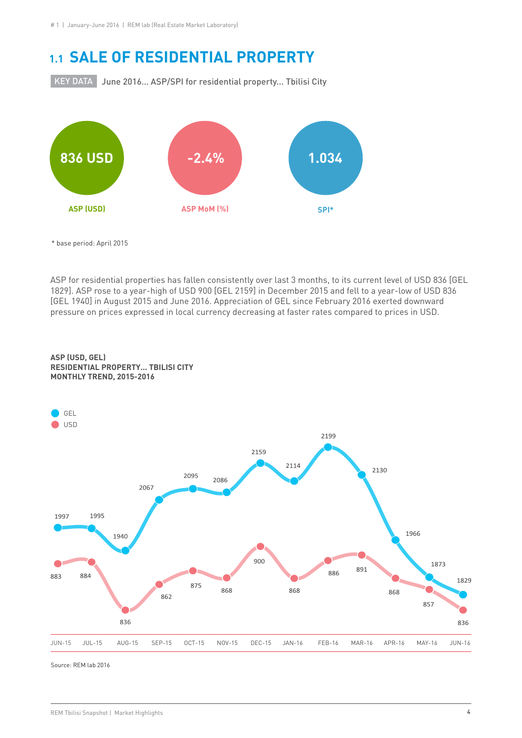### **1.1 SALE OF RESIDENTIAL PROPERTY**

KEY DATA | June 2016... ASP/SPI for residential property... Tbilisi City



\* base period: April 2015

ASP for residential properties has fallen consistently over last 3 months, to its current level of USD 836 [GEL 1829]. ASP rose to a year-high of USD 900 [GEL 2159] in December 2015 and fell to a year-low of USD 836 [GEL 1940] in August 2015 and June 2016. Appreciation of GEL since February 2016 exerted downward pressure on prices expressed in local currency decreasing at faster rates compared to prices in USD.

### **ASP (USD, GEL) RESIDENTIAL PROPERTY... TBILISI CITY MONTHLY TREND, 2015-2016**

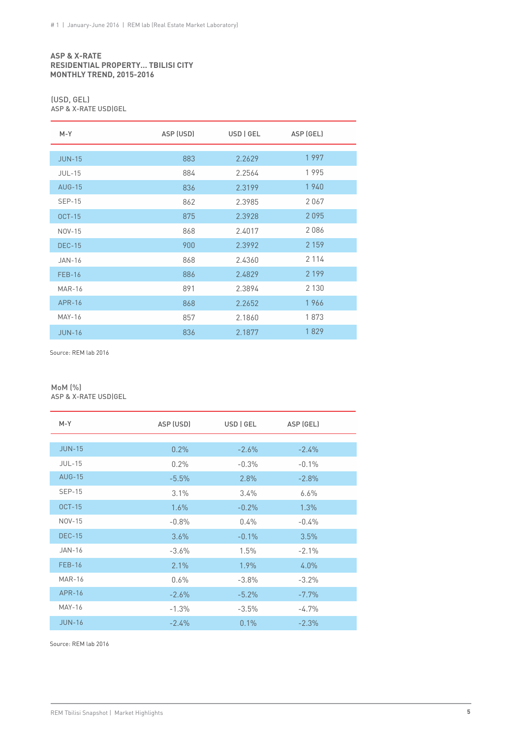### **ASP & X-RATE RESIDENTIAL PROPERTY… TBILISI CITY MONTHLY TREND, 2015-2016**

### (USD, GEL)

ASP & X-RATE USD|GEL

| $M - Y$       | ASP (USD) | USD   GEL | ASP (GEL) |  |
|---------------|-----------|-----------|-----------|--|
|               |           |           |           |  |
| <b>JUN-15</b> | 883       | 2.2629    | 1997      |  |
| <b>JUL-15</b> | 884       | 2.2564    | 1995      |  |
| <b>AUG-15</b> | 836       | 2.3199    | 1940      |  |
| <b>SEP-15</b> | 862       | 2.3985    | 2067      |  |
| <b>OCT-15</b> | 875       | 2.3928    | 2095      |  |
| <b>NOV-15</b> | 868       | 2.4017    | 2086      |  |
| <b>DEC-15</b> | 900       | 2.3992    | 2 1 5 9   |  |
| <b>JAN-16</b> | 868       | 2.4360    | 2 1 1 4   |  |
| <b>FEB-16</b> | 886       | 2.4829    | 2 1 9 9   |  |
| <b>MAR-16</b> | 891       | 2.3894    | 2 1 3 0   |  |
| <b>APR-16</b> | 868       | 2.2652    | 1966      |  |
| <b>MAY-16</b> | 857       | 2.1860    | 1873      |  |
| <b>JUN-16</b> | 836       | 2.1877    | 1829      |  |

Source: REM lab 2016

### MoM (%) ASP & X-RATE USD|GEL

| $M - Y$       | ASP (USD) | USD   GEL | ASP (GEL) |  |
|---------------|-----------|-----------|-----------|--|
|               |           |           |           |  |
| <b>JUN-15</b> | 0.2%      | $-2.6%$   | $-2.4\%$  |  |
| <b>JUL-15</b> | 0.2%      | $-0.3%$   | $-0.1\%$  |  |
| <b>AUG-15</b> | $-5.5%$   | 2.8%      | $-2.8%$   |  |
| <b>SEP-15</b> | 3.1%      | $3.4\%$   | $6.6\%$   |  |
| <b>OCT-15</b> | 1.6%      | $-0.2%$   | 1.3%      |  |
| NOV-15        | $-0.8%$   | 0.4%      | $-0.4%$   |  |
| <b>DEC-15</b> | 3.6%      | $-0.1\%$  | 3.5%      |  |
| <b>JAN-16</b> | $-3.6%$   | 1.5%      | $-2.1%$   |  |
| <b>FEB-16</b> | 2.1%      | $1.9\%$   | $4.0\%$   |  |
| <b>MAR-16</b> | 0.6%      | $-3.8%$   | $-3.2%$   |  |
| <b>APR-16</b> | $-2.6%$   | $-5.2%$   | $-7.7%$   |  |
| MAY-16        | $-1.3%$   | $-3.5%$   | $-4.7%$   |  |
| <b>JUN-16</b> | $-2.4%$   | 0.1%      | $-2.3%$   |  |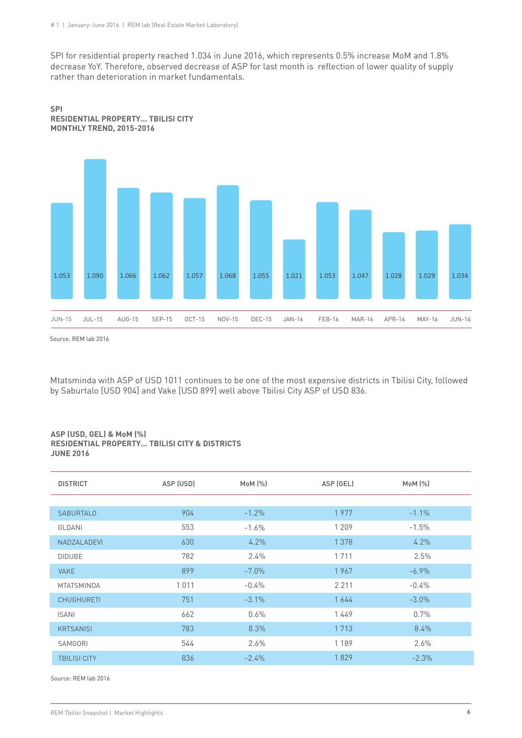SPI for residential property reached 1.034 in June 2016, which represents 0.5% increase MoM and 1.8% decrease YoY. Therefore, observed decrease of ASP for last month is reflection of lower quality of supply rather than deterioration in market fundamentals.





Source: REM lab 2016

Mtatsminda with ASP of USD 1011 continues to be one of the most expensive districts in Tbilisi City, followed by Saburtalo [USD 904] and Vake [USD 899] well above Tbilisi City ASP of USD 836.

### **ASP (USD, GEL) & MoM (%) RESIDENTIAL PROPERTY... TBILISI CITY & DISTRICTS JUNE 2016**

| <b>DISTRICT</b>     | ASP (USD) | MoM (%)  | ASP (GEL) | $M \circ M$ $(\% )$ |
|---------------------|-----------|----------|-----------|---------------------|
|                     |           |          |           |                     |
| <b>SABURTALO</b>    | 904       | $-1.2%$  | 1977      | $-1.1%$             |
| GLDANI              | 553       | $-1.6%$  | 1 2 0 9   | $-1.5%$             |
| NADZALADEVI         | 630       | 4.2%     | 1 3 7 8   | 4.2%                |
| <b>DIDUBE</b>       | 782       | $2.4\%$  | 1 7 1 1   | 2.5%                |
| <b>VAKE</b>         | 899       | $-7.0\%$ | 1967      | $-6.9\%$            |
| <b>MTATSMINDA</b>   | 1011      | $-0.4%$  | 2 2 1 1   | $-0.4%$             |
| <b>CHUGHURETI</b>   | 751       | $-3.1\%$ | 1644      | $-3.0\%$            |
| <b>ISANI</b>        | 662       | $0.6\%$  | 1449      | 0.7%                |
| <b>KRTSANISI</b>    | 783       | 8.3%     | 1 7 1 3   | 8.4%                |
| SAMGORI             | 544       | 2.6%     | 1 1 8 9   | $2.6\%$             |
| <b>TBILISI CITY</b> | 836       | $-2.4%$  | 1829      | $-2.3%$             |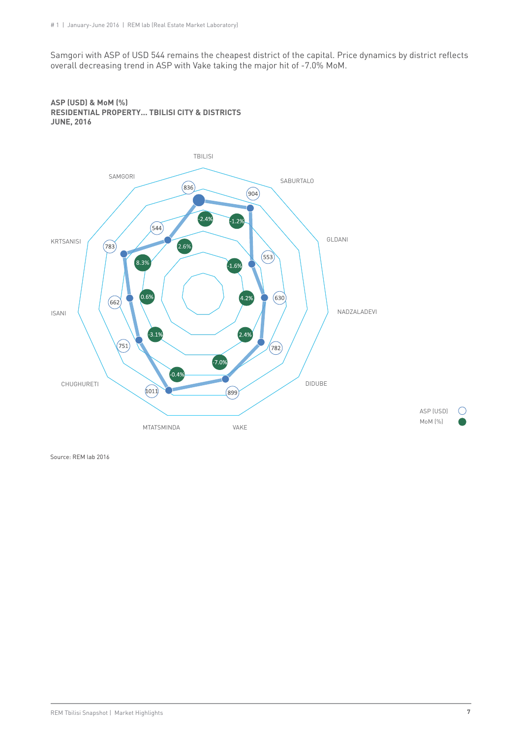Samgori with ASP of USD 544 remains the cheapest district of the capital. Price dynamics by district reflects overall decreasing trend in ASP with Vake taking the major hit of -7.0% MoM.



**ASP (USD) & MoM (%) RESIDENTIAL PROPERTY... TBILISI CITY & DISTRICTS JUNE, 2016**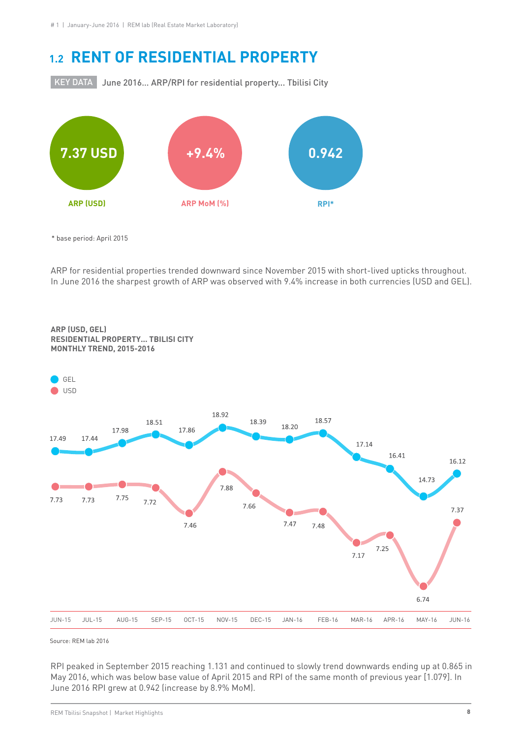### **1.2 RENT OF RESIDENTIAL PROPERTY**

KEY DATA | June 2016... ARP/RPI for residential property... Tbilisi City



\* base period: April 2015

ARP for residential properties trended downward since November 2015 with short-lived upticks throughout. In June 2016 the sharpest growth of ARP was observed with 9.4% increase in both currencies (USD and GEL).



**ARP (USD, GEL) RESIDENTIAL PROPERTY... TBILISI CITY MONTHLY TREND, 2015-2016**

Source: REM lab 2016

RPI peaked in September 2015 reaching 1.131 and continued to slowly trend downwards ending up at 0.865 in May 2016, which was below base value of April 2015 and RPI of the same month of previous year [1.079]. In June 2016 RPI grew at 0.942 (increase by 8.9% MoM).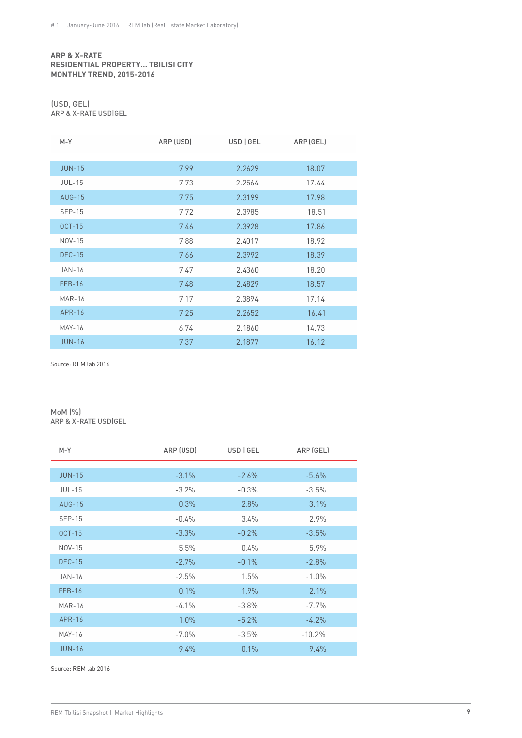### **ARP & X-RATE RESIDENTIAL PROPERTY… TBILISI CITY MONTHLY TREND, 2015-2016**

### (USD, GEL) ARP & X-RATE USD|GEL

| $M-Y$         | ARP (USD) | USD   GEL | ARP (GEL) |
|---------------|-----------|-----------|-----------|
|               |           |           |           |
| <b>JUN-15</b> | 7.99      | 2.2629    | 18.07     |
| <b>JUL-15</b> | 7.73      | 2.2564    | 17.44     |
| <b>AUG-15</b> | 7.75      | 2.3199    | 17.98     |
| <b>SEP-15</b> | 7.72      | 2.3985    | 18.51     |
| $OCT-15$      | 7.46      | 2.3928    | 17.86     |
| <b>NOV-15</b> | 7.88      | 2.4017    | 18.92     |
| <b>DEC-15</b> | 7.66      | 2.3992    | 18.39     |
| <b>JAN-16</b> | 7.47      | 2.4360    | 18.20     |
| <b>FEB-16</b> | 7.48      | 2.4829    | 18.57     |
| <b>MAR-16</b> | 7.17      | 2.3894    | 17.14     |
| APR-16        | 7.25      | 2.2652    | 16.41     |
| <b>MAY-16</b> | 6.74      | 2.1860    | 14.73     |
| <b>JUN-16</b> | 7.37      | 2.1877    | 16.12     |

Source: REM lab 2016

### MoM (%) ARP & X-RATE USD|GEL

| $M-Y$         | ARP (USD) | USD   GEL | ARP (GEL) |
|---------------|-----------|-----------|-----------|
|               |           |           |           |
| <b>JUN-15</b> | $-3.1%$   | $-2.6%$   | $-5.6%$   |
| <b>JUL-15</b> | $-3.2\%$  | $-0.3%$   | $-3.5%$   |
| <b>AUG-15</b> | 0.3%      | 2.8%      | 3.1%      |
| $SEP-15$      | $-0.4\%$  | $3.4\%$   | 2.9%      |
| <b>OCT-15</b> | $-3.3%$   | $-0.2%$   | $-3.5%$   |
| NOV-15        | 5.5%      | 0.4%      | 5.9%      |
| <b>DEC-15</b> | $-2.7%$   | $-0.1%$   | $-2.8%$   |
| <b>JAN-16</b> | $-2.5%$   | 1.5%      | $-1.0%$   |
| <b>FEB-16</b> | 0.1%      | 1.9%      | 2.1%      |
| <b>MAR-16</b> | $-4.1\%$  | $-3.8%$   | $-7.7%$   |
| <b>APR-16</b> | 1.0%      | $-5.2%$   | $-4.2%$   |
| <b>MAY-16</b> | $-7.0\%$  | $-3.5%$   | $-10.2%$  |
| <b>JUN-16</b> | 9.4%      | 0.1%      | 9.4%      |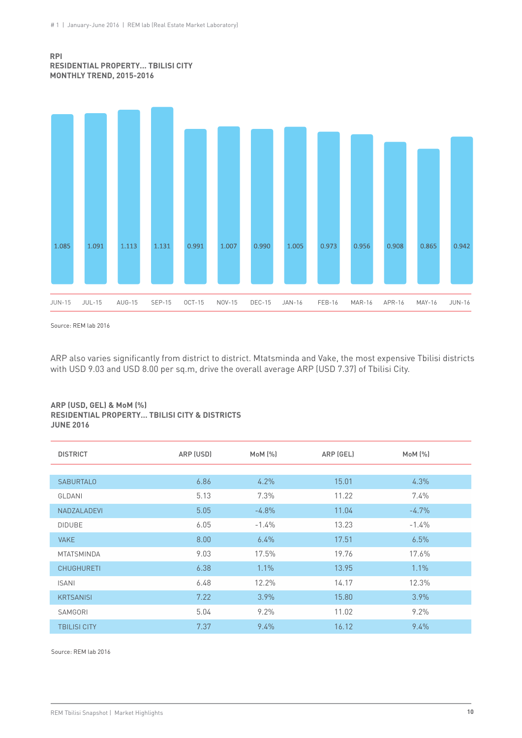### **RPI RESIDENTIAL PROPERTY... TBILISI CITY MONTHLY TREND, 2015-2016**



Source: REM lab 2016

ARP also varies significantly from district to district. Mtatsminda and Vake, the most expensive Tbilisi districts with USD 9.03 and USD 8.00 per sq.m, drive the overall average ARP (USD 7.37) of Tbilisi City.

#### **ARP (USD, GEL) & MoM (%) RESIDENTIAL PROPERTY… TBILISI CITY & DISTRICTS JUNE 2016**

| <b>DISTRICT</b>     | ARP (USD) | MoM (%) | ARP (GEL) | $M \circ M$ $(\% )$ |  |
|---------------------|-----------|---------|-----------|---------------------|--|
|                     |           |         |           |                     |  |
| <b>SABURTALO</b>    | 6.86      | 4.2%    | 15.01     | 4.3%                |  |
| GLDANI              | 5.13      | 7.3%    | 11.22     | 7.4%                |  |
| NADZALADEVI         | 5.05      | $-4.8%$ | 11.04     | $-4.7\%$            |  |
| <b>DIDUBE</b>       | 6.05      | $-1.4%$ | 13.23     | $-1.4%$             |  |
| <b>VAKE</b>         | 8.00      | 6.4%    | 17.51     | 6.5%                |  |
| <b>MTATSMINDA</b>   | 9.03      | 17.5%   | 19.76     | 17.6%               |  |
| <b>CHUGHURETI</b>   | 6.38      | 1.1%    | 13.95     | 1.1%                |  |
| <b>ISANI</b>        | 6.48      | 12.2%   | 14.17     | 12.3%               |  |
| <b>KRTSANISI</b>    | 7.22      | 3.9%    | 15.80     | 3.9%                |  |
| SAMGORI             | 5.04      | 9.2%    | 11.02     | 9.2%                |  |
| <b>TBILISI CITY</b> | 7.37      | 9.4%    | 16.12     | 9.4%                |  |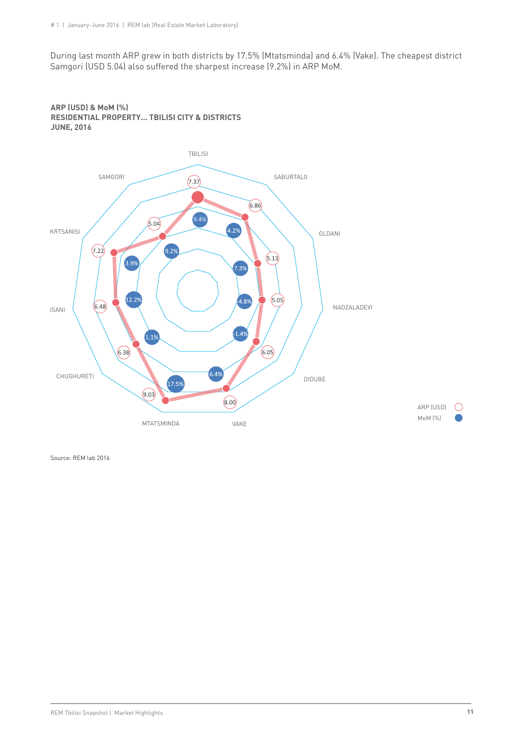During last month ARP grew in both districts by 17.5% (Mtatsminda) and 6.4% (Vake). The cheapest district Samgori (USD 5.04) also suffered the sharpest increase (9.2%) in ARP MoM.



**ARP (USD) & MoM (%) RESIDENTIAL PROPERTY... TBILISI CITY & DISTRICTS JUNE, 2016**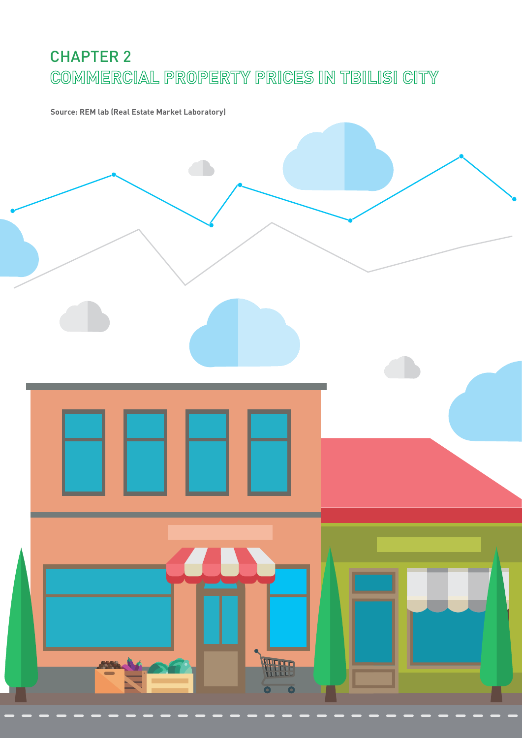# CHAPTER 2 **COMMERCIAL PROPERTY PRICES IN TBILISI CITY**

**Source: REM lab (Real Estate Market Laboratory)**

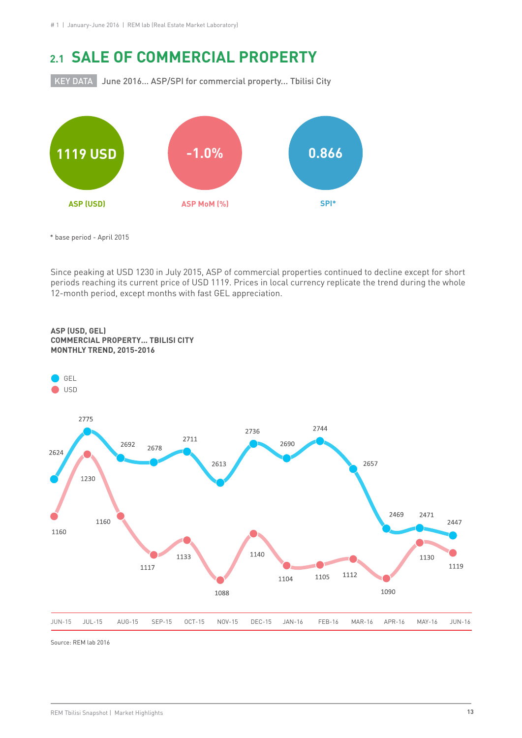### **2.1 SALE OF COMMERCIAL PROPERTY**

KEY DATA June 2016... ASP/SPI for commercial property... Tbilisi City



 <sup>\*</sup> base period - April 2015

Since peaking at USD 1230 in July 2015, ASP of commercial properties continued to decline except for short periods reaching its current price of USD 1119. Prices in local currency replicate the trend during the whole 12-month period, except months with fast GEL appreciation.



### **ASP (USD, GEL) COMMERCIAL PROPERTY... TBILISI CITY MONTHLY TREND, 2015-2016**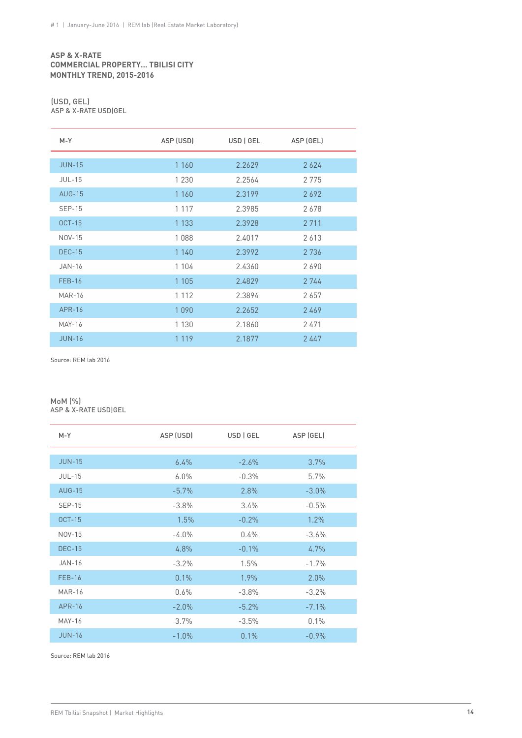### **ASP & X-RATE COMMERCIAL PROPERTY… TBILISI CITY MONTHLY TREND, 2015-2016**

#### (USD, GEL) ASP & X-RATE USD|GEL

| $M - Y$       | ASP (USD) | USD   GEL | ASP (GEL) |
|---------------|-----------|-----------|-----------|
|               |           |           |           |
| <b>JUN-15</b> | 1 1 6 0   | 2.2629    | 2624      |
| <b>JUL-15</b> | 1 2 3 0   | 2.2564    | 2775      |
| <b>AUG-15</b> | 1 1 6 0   | 2.3199    | 2692      |
| <b>SEP-15</b> | 1 1 1 7   | 2.3985    | 2678      |
| <b>OCT-15</b> | 1 1 3 3   | 2.3928    | 2 7 1 1   |
| NOV-15        | 1088      | 2.4017    | 2613      |
| <b>DEC-15</b> | 1 1 4 0   | 2.3992    | 2 7 3 6   |
| <b>JAN-16</b> | 1 1 0 4   | 2.4360    | 2690      |
| $FEB-16$      | 1 1 0 5   | 2.4829    | 2 744     |
| <b>MAR-16</b> | 1 1 1 2   | 2.3894    | 2657      |
| <b>APR-16</b> | 1090      | 2.2652    | 2469      |
| <b>MAY-16</b> | 1 1 3 0   | 2.1860    | 2471      |
| <b>JUN-16</b> | 1 1 1 9   | 2.1877    | 2447      |

Source: REM lab 2016

### MoM (%) ASP & X-RATE USD|GEL

| $M-Y$         | ASP (USD) | USD   GEL | ASP (GEL) |
|---------------|-----------|-----------|-----------|
|               |           |           |           |
| <b>JUN-15</b> | $6.4\%$   | $-2.6%$   | 3.7%      |
| <b>JUL-15</b> | 6.0%      | $-0.3%$   | 5.7%      |
| <b>AUG-15</b> | $-5.7\%$  | 2.8%      | $-3.0\%$  |
| $SEP-15$      | $-3.8\%$  | $3.4\%$   | $-0.5%$   |
| <b>OCT-15</b> | 1.5%      | $-0.2%$   | 1.2%      |
| NOV-15        | $-4.0\%$  | $0.4\%$   | $-3.6%$   |
| <b>DEC-15</b> | 4.8%      | $-0.1%$   | 4.7%      |
| $JAN-16$      | $-3.2%$   | 1.5%      | $-1.7%$   |
| <b>FEB-16</b> | 0.1%      | $1.9\%$   | 2.0%      |
| <b>MAR-16</b> | 0.6%      | $-3.8%$   | $-3.2%$   |
| <b>APR-16</b> | $-2.0%$   | $-5.2%$   | $-7.1\%$  |
| <b>MAY-16</b> | 3.7%      | $-3.5%$   | 0.1%      |
| <b>JUN-16</b> | $-1.0%$   | 0.1%      | $-0.9%$   |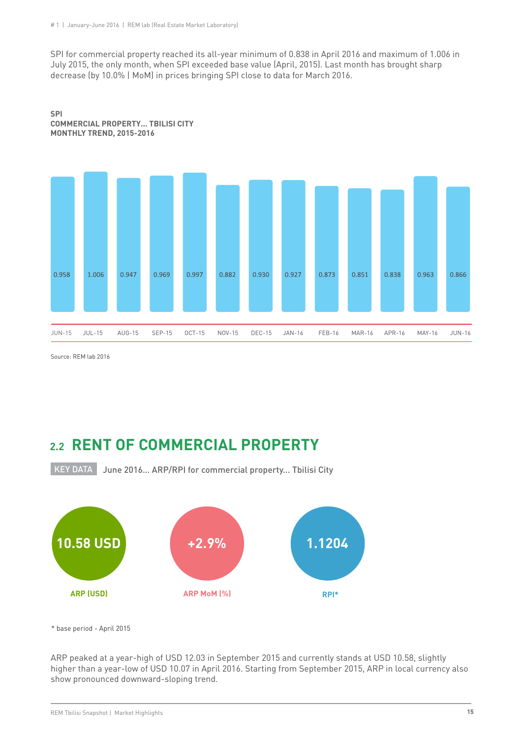#### # 1 | January-June 2016 | REM lab (Real Estate Market Laboratory)

SPI for commercial property reached its all-year minimum of 0.838 in April 2016 and maximum of 1.006 in July 2015, the only month, when SPI exceeded base value (April, 2015). Last month has brought sharp decrease (by 10.0% | MoM) in prices bringing SPI close to data for March 2016.



**SPI COMMERCIAL PROPERTY... TBILISI CITY MONTHLY TREND, 2015-2016**

Source: REM lab 2016

### **2.2 RENT OF COMMERCIAL PROPERTY**

KEY DATA June 2016… ARP/RPI for commercial property... Tbilisi City



\* base period - April 2015

ARP peaked at a year-high of USD 12.03 in September 2015 and currently stands at USD 10.58, slightly higher than a year-low of USD 10.07 in April 2016. Starting from September 2015, ARP in local currency also show pronounced downward-sloping trend.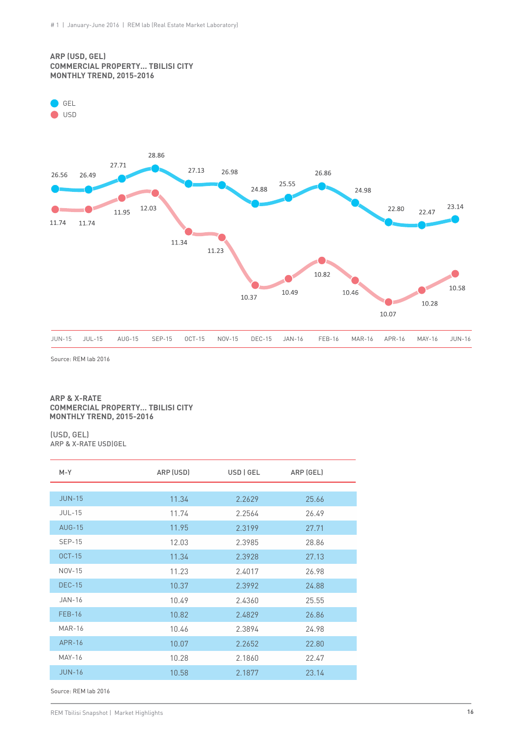### **ARP (USD, GEL) COMMERCIAL PROPERTY... TBILISI CITY MONTHLY TREND, 2015-2016**



Source: REM lab 2016

#### **ARP & X-RATE COMMERCIAL PROPERTY… TBILISI CITY MONTHLY TREND, 2015-2016**

#### (USD, GEL) ARP & X-RATE USD|GEL

| $M-Y$         | ARP (USD) | USD   GEL | ARP (GEL) |
|---------------|-----------|-----------|-----------|
|               |           |           |           |
| <b>JUN-15</b> | 11.34     | 2.2629    | 25.66     |
| $JUL-15$      | 11.74     | 2.2564    | 26.49     |
| <b>AUG-15</b> | 11.95     | 2.3199    | 27.71     |
| $SEP-15$      | 12.03     | 2.3985    | 28.86     |
| $OCT-15$      | 11.34     | 2.3928    | 27.13     |
| NOV-15        | 11.23     | 2.4017    | 26.98     |
| <b>DEC-15</b> | 10.37     | 2.3992    | 24.88     |
| JAN-16        | 10.49     | 2.4360    | 25.55     |
| <b>FEB-16</b> | 10.82     | 2.4829    | 26.86     |
| <b>MAR-16</b> | 10.46     | 2.3894    | 24.98     |
| APR-16        | 10.07     | 2.2652    | 22.80     |
| <b>MAY-16</b> | 10.28     | 2.1860    | 22.47     |
| $JUN-16$      | 10.58     | 2.1877    | 23.14     |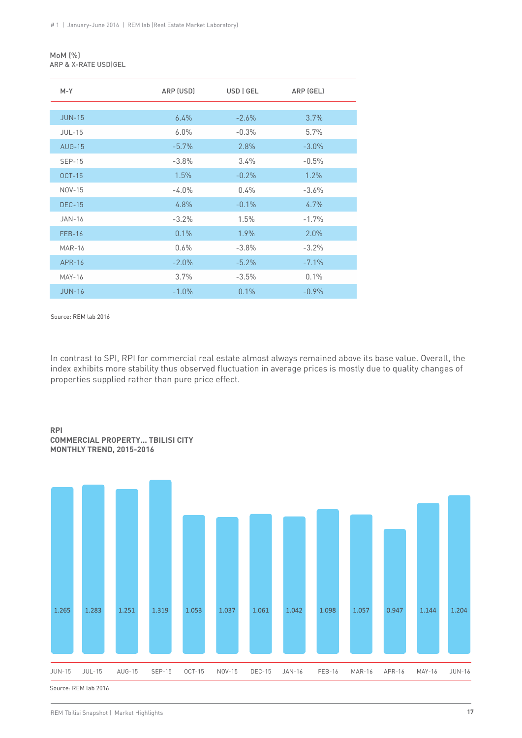### MoM (%) ARP & X-RATE USD|GEL

| $M-Y$         | ARP (USD) | USD   GEL | ARP (GEL) |  |
|---------------|-----------|-----------|-----------|--|
|               |           |           |           |  |
| <b>JUN-15</b> | $6.4\%$   | $-2.6%$   | 3.7%      |  |
| $JUL-15$      | $6.0\%$   | $-0.3%$   | 5.7%      |  |
| $AUG-15$      | $-5.7\%$  | 2.8%      | $-3.0\%$  |  |
| <b>SEP-15</b> | $-3.8%$   | 3.4%      | $-0.5%$   |  |
| $OCT-15$      | 1.5%      | $-0.2%$   | $1.2\%$   |  |
| NOV-15        | $-4.0\%$  | 0.4%      | $-3.6%$   |  |
| <b>DEC-15</b> | 4.8%      | $-0.1\%$  | $4.7\%$   |  |
| <b>JAN-16</b> | $-3.2%$   | 1.5%      | $-1.7%$   |  |
| <b>FEB-16</b> | 0.1%      | 1.9%      | 2.0%      |  |
| <b>MAR-16</b> | 0.6%      | $-3.8%$   | $-3.2%$   |  |
| <b>APR-16</b> | $-2.0\%$  | $-5.2\%$  | $-7.1\%$  |  |
| <b>MAY-16</b> | 3.7%      | $-3.5%$   | 0.1%      |  |
| <b>JUN-16</b> | $-1.0%$   | 0.1%      | $-0.9%$   |  |

Source: REM lab 2016

In contrast to SPI, RPI for commercial real estate almost always remained above its base value. Overall, the index exhibits more stability thus observed fluctuation in average prices is mostly due to quality changes of properties supplied rather than pure price effect.

### **RPI COMMERCIAL PROPERTY... TBILISI CITY MONTHLY TREND, 2015-2016**

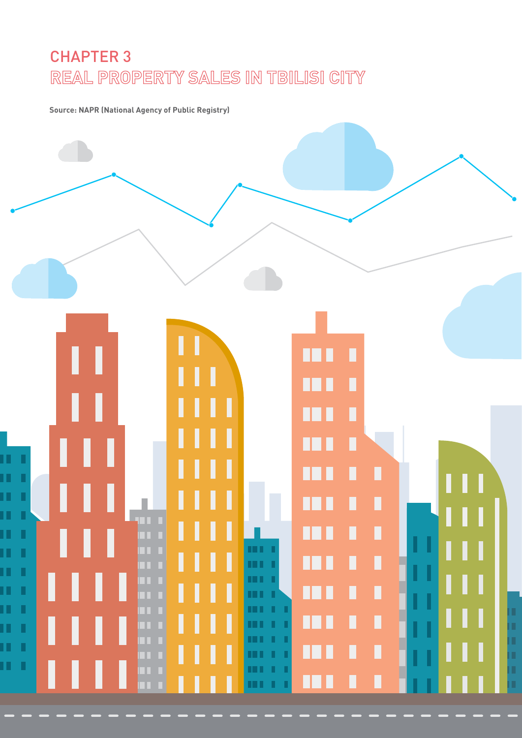# CHAPTER 3 **REAL PROPERTY SALES IN TBILISI CITY**

**Source: NAPR (National Agency of Public Registry)**

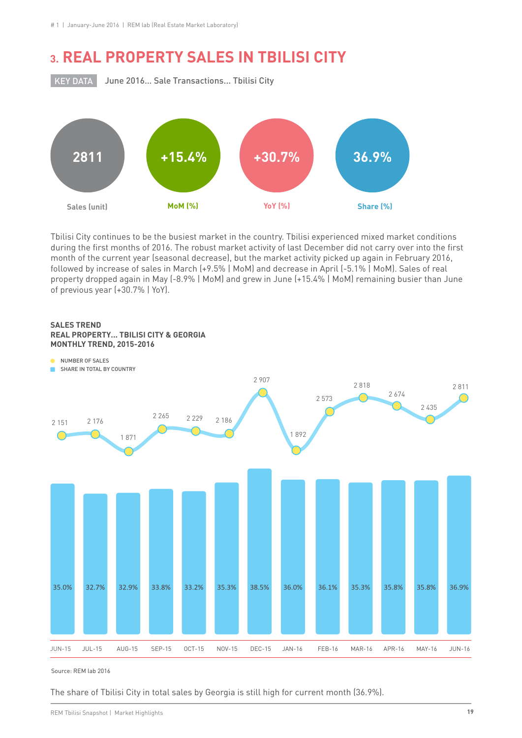### **3. REAL PROPERTY SALES IN TBILISI CITY**

**KEY DATA** 

June 2016… Sale Transactions... Tbilisi City



Tbilisi City continues to be the busiest market in the country. Tbilisi experienced mixed market conditions during the first months of 2016. The robust market activity of last December did not carry over into the first month of the current year (seasonal decrease), but the market activity picked up again in February 2016, followed by increase of sales in March (+9.5% | MoM) and decrease in April (-5.1% | MoM). Sales of real property dropped again in May (-8.9% | MoM) and grew in June (+15.4% | MoM) remaining busier than June of previous year (+30.7% | YoY).





Source: REM lab 2016

The share of Tbilisi City in total sales by Georgia is still high for current month (36.9%).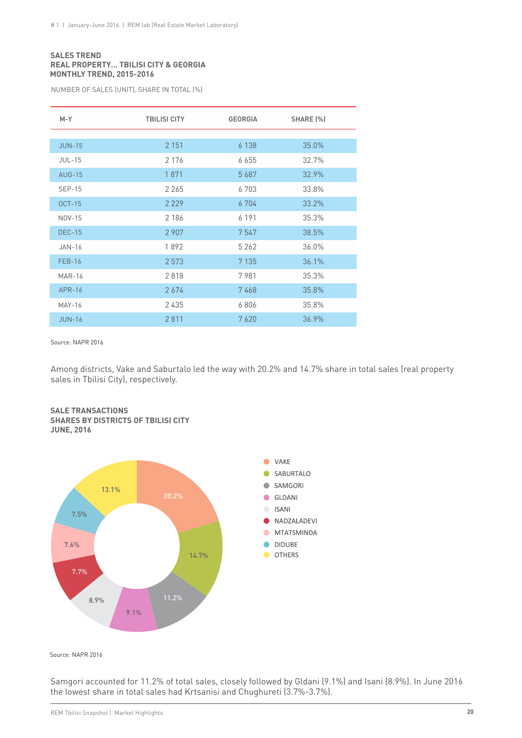### **SALES TREND REAL PROPERTY… TBILISI CITY & GEORGIA MONTHLY TREND, 2015-2016**

NUMBER OF SALES (UNIT), SHARE IN TOTAL (%)

| $M - Y$       | <b>TBILISI CITY</b> | <b>GEORGIA</b> | SHARE [%] |
|---------------|---------------------|----------------|-----------|
|               |                     |                |           |
| <b>JUN-15</b> | 2 1 5 1             | 6 1 3 8        | 35.0%     |
| <b>JUL-15</b> | 2 1 7 6             | 6 6 5 5        | 32.7%     |
| <b>AUG-15</b> | 1871                | 5687           | 32.9%     |
| <b>SEP-15</b> | 2 2 6 5             | 6703           | 33.8%     |
| $OCT-15$      | 2 2 2 9             | 6 704          | 33.2%     |
| NOV-15        | 2 1 8 6             | 6 1 9 1        | 35.3%     |
| <b>DEC-15</b> | 2 9 0 7             | 7547           | 38.5%     |
| $JAN-16$      | 1892                | 5 2 6 2        | 36.0%     |
| <b>FEB-16</b> | 2 5 7 3             | 7 1 3 5        | 36.1%     |
| <b>MAR-16</b> | 2818                | 7981           | 35.3%     |
| <b>APR-16</b> | 2674                | 7468           | 35.8%     |
| <b>MAY-16</b> | 2435                | 6806           | 35.8%     |
| $JUN-16$      | 2811                | 7620           | 36.9%     |

Source: NAPR 2016

Among districts, Vake and Saburtalo led the way with 20.2% and 14.7% share in total sales (real property sales in Tbilisi City), respectively.



### **SALE TRANSACTIONS SHARES BY DISTRICTS OF TBILISI CITY**

**JUNE, 2016**

Source: NAPR 2016

Samgori accounted for 11.2% of total sales, closely followed by Gldani (9.1%) and Isani (8.9%). In June 2016 the lowest share in total sales had Krtsanisi and Chughureti (3.7%-3.7%).